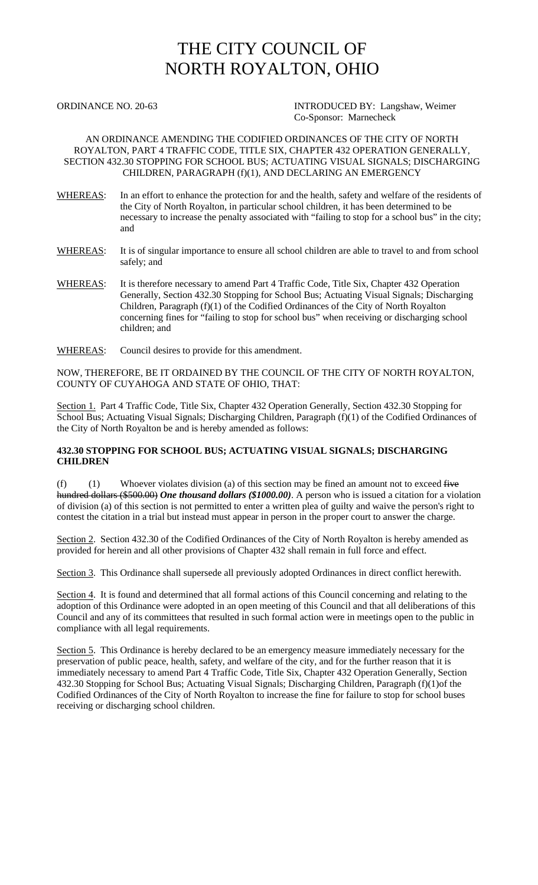## THE CITY COUNCIL OF NORTH ROYALTON, OHIO

ORDINANCE NO. 20-63 INTRODUCED BY: Langshaw, Weimer Co-Sponsor: Marnecheck

## AN ORDINANCE AMENDING THE CODIFIED ORDINANCES OF THE CITY OF NORTH ROYALTON, PART 4 TRAFFIC CODE, TITLE SIX, CHAPTER 432 OPERATION GENERALLY, SECTION 432.30 STOPPING FOR SCHOOL BUS; ACTUATING VISUAL SIGNALS; DISCHARGING CHILDREN, PARAGRAPH (f)(1), AND DECLARING AN EMERGENCY

- WHEREAS: In an effort to enhance the protection for and the health, safety and welfare of the residents of the City of North Royalton, in particular school children, it has been determined to be necessary to increase the penalty associated with "failing to stop for a school bus" in the city; and
- WHEREAS: It is of singular importance to ensure all school children are able to travel to and from school safely; and
- WHEREAS: It is therefore necessary to amend Part 4 Traffic Code, Title Six, Chapter 432 Operation Generally, Section 432.30 Stopping for School Bus; Actuating Visual Signals; Discharging Children, Paragraph (f)(1) of the Codified Ordinances of the City of North Royalton concerning fines for "failing to stop for school bus" when receiving or discharging school children; and
- WHEREAS: Council desires to provide for this amendment.

NOW, THEREFORE, BE IT ORDAINED BY THE COUNCIL OF THE CITY OF NORTH ROYALTON, COUNTY OF CUYAHOGA AND STATE OF OHIO, THAT:

Section 1. Part 4 Traffic Code, Title Six, Chapter 432 Operation Generally, Section 432.30 Stopping for School Bus; Actuating Visual Signals; Discharging Children, Paragraph (f)(1) of the Codified Ordinances of the City of North Royalton be and is hereby amended as follows:

## **432.30 STOPPING FOR SCHOOL BUS; ACTUATING VISUAL SIGNALS; DISCHARGING CHILDREN**

(f) (1) Whoever violates division (a) of this section may be fined an amount not to exceed  $f{H}$ hundred dollars (\$500.00) *One thousand dollars (\$1000.00)*. A person who is issued a citation for a violation of division (a) of this section is not permitted to enter a written plea of guilty and waive the person's right to contest the citation in a trial but instead must appear in person in the proper court to answer the charge.

Section 2. Section 432.30 of the Codified Ordinances of the City of North Royalton is hereby amended as provided for herein and all other provisions of Chapter 432 shall remain in full force and effect.

Section 3. This Ordinance shall supersede all previously adopted Ordinances in direct conflict herewith.

Section 4. It is found and determined that all formal actions of this Council concerning and relating to the adoption of this Ordinance were adopted in an open meeting of this Council and that all deliberations of this Council and any of its committees that resulted in such formal action were in meetings open to the public in compliance with all legal requirements.

Section 5. This Ordinance is hereby declared to be an emergency measure immediately necessary for the preservation of public peace, health, safety, and welfare of the city, and for the further reason that it is immediately necessary to amend Part 4 Traffic Code, Title Six, Chapter 432 Operation Generally, Section 432.30 Stopping for School Bus; Actuating Visual Signals; Discharging Children, Paragraph (f)(1)of the Codified Ordinances of the City of North Royalton to increase the fine for failure to stop for school buses receiving or discharging school children.